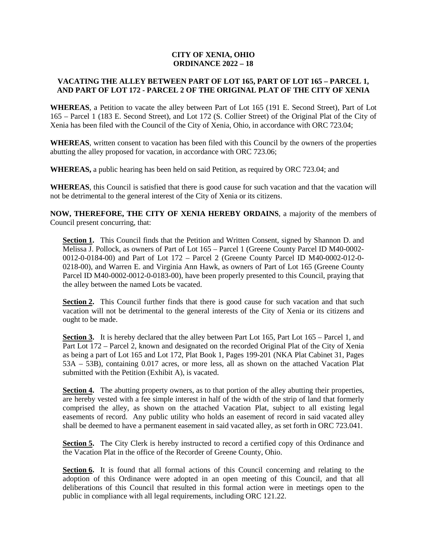## **CITY OF XENIA, OHIO ORDINANCE 2022 – 18**

## **VACATING THE ALLEY BETWEEN PART OF LOT 165, PART OF LOT 165 – PARCEL 1, AND PART OF LOT 172 - PARCEL 2 OF THE ORIGINAL PLAT OF THE CITY OF XENIA**

**WHEREAS**, a Petition to vacate the alley between Part of Lot 165 (191 E. Second Street), Part of Lot 165 – Parcel 1 (183 E. Second Street), and Lot 172 (S. Collier Street) of the Original Plat of the City of Xenia has been filed with the Council of the City of Xenia, Ohio, in accordance with ORC 723.04;

**WHEREAS**, written consent to vacation has been filed with this Council by the owners of the properties abutting the alley proposed for vacation, in accordance with ORC 723.06;

**WHEREAS,** a public hearing has been held on said Petition, as required by ORC 723.04; and

**WHEREAS**, this Council is satisfied that there is good cause for such vacation and that the vacation will not be detrimental to the general interest of the City of Xenia or its citizens.

**NOW, THEREFORE, THE CITY OF XENIA HEREBY ORDAINS**, a majority of the members of Council present concurring, that:

Section 1. This Council finds that the Petition and Written Consent, signed by Shannon D. and Melissa J. Pollock, as owners of Part of Lot 165 – Parcel 1 (Greene County Parcel ID M40-0002- 0012-0-0184-00) and Part of Lot 172 – Parcel 2 (Greene County Parcel ID M40-0002-012-0- 0218-00), and Warren E. and Virginia Ann Hawk, as owners of Part of Lot 165 (Greene County Parcel ID M40-0002-0012-0-0183-00), have been properly presented to this Council, praying that the alley between the named Lots be vacated.

Section 2. This Council further finds that there is good cause for such vacation and that such vacation will not be detrimental to the general interests of the City of Xenia or its citizens and ought to be made.

Section 3. It is hereby declared that the alley between Part Lot 165, Part Lot 165 – Parcel 1, and Part Lot 172 – Parcel 2, known and designated on the recorded Original Plat of the City of Xenia as being a part of Lot 165 and Lot 172, Plat Book 1, Pages 199-201 (NKA Plat Cabinet 31, Pages 53A – 53B), containing 0.017 acres, or more less, all as shown on the attached Vacation Plat submitted with the Petition (Exhibit A), is vacated.

**Section 4.** The abutting property owners, as to that portion of the alley abutting their properties, are hereby vested with a fee simple interest in half of the width of the strip of land that formerly comprised the alley, as shown on the attached Vacation Plat, subject to all existing legal easements of record. Any public utility who holds an easement of record in said vacated alley shall be deemed to have a permanent easement in said vacated alley, as set forth in ORC 723.041.

**Section 5.** The City Clerk is hereby instructed to record a certified copy of this Ordinance and the Vacation Plat in the office of the Recorder of Greene County, Ohio.

**Section 6.** It is found that all formal actions of this Council concerning and relating to the adoption of this Ordinance were adopted in an open meeting of this Council, and that all deliberations of this Council that resulted in this formal action were in meetings open to the public in compliance with all legal requirements, including ORC 121.22.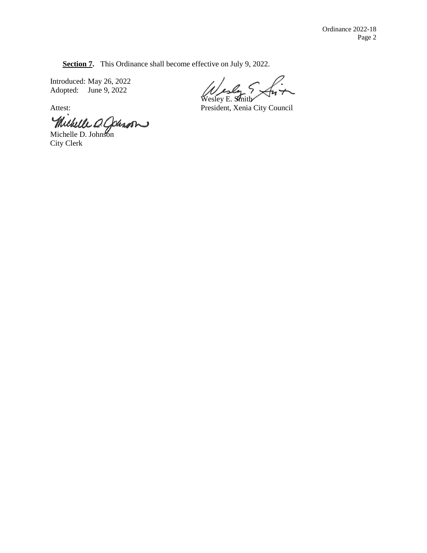**Section 7.** This Ordinance shall become effective on July 9, 2022.

Introduced: May 26, 2022 Adopted: June 9, 2022

Michelle O. Cohron

City Clerk

Wesley E. Smith

Attest: President, Xenia City Council